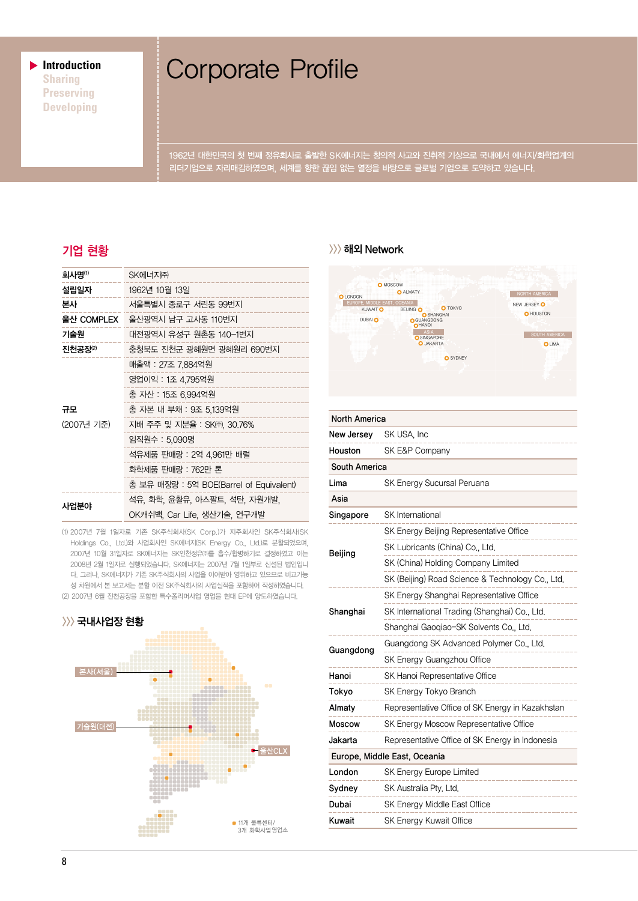▶ **Introduction Sharing Preserving Developing**

# Corporate Profile

1962년 대한민국의 첫 번째 정유회사로 출발한 SK에너지는 창의적 사고와 진취적 기상으로 국내에서 에너지/화학업계의 리더기업으로 자리매김하였으며, 세계를 향한 끊임 없는 열정을 바탕으로 글로벌 기업으로 도약하고 있습니다.

| 회사명 <sup>(1)</sup> | SK에너지㈜                                  |  |  |
|--------------------|-----------------------------------------|--|--|
| 설립일자               | 1962년 10월 13일                           |  |  |
| 본사                 | 서울특별시 종로구 서린동 99번지                      |  |  |
| 울산 COMPLEX         | 울산광역시 남구 고사동 110번지                      |  |  |
| 기술원                | 대전광역시 유성구 원촌동 140-1번지                   |  |  |
| 진천공장2              | 충청북도 진천군 광혜원면 광혜원리 690번지                |  |  |
| 규모<br>(2007년 기준)   | 매출액 : 27조 7.884억원                       |  |  |
|                    | 영업이익 : 1조 4,795억원                       |  |  |
|                    | 총 자산 : 15조 6,994억원                      |  |  |
|                    | 총 자본 내 부채 : 9조 5.139억원                  |  |  |
|                    | 지배 주주 및 지분율 : SK㈜, 30,76%               |  |  |
|                    | 임직원수 : 5,090명                           |  |  |
|                    | 석유제품 판매량 : 2억 4,961만 배럴                 |  |  |
|                    | 화학제품 판매량 : 762만 톤                       |  |  |
|                    | 총 보유 매장량 : 5억 BOE(Barrel of Equivalent) |  |  |
| 사업분야               | 석유, 화학, 윤활유, 아스팔트, 석탄, 자원개발,            |  |  |
|                    | OK캐쉬백, Car Life, 생산기술, 연구개발             |  |  |

(1) 2007년 7월 1일자로 기존 SK주식회사(SK Corp.)가 지주회사인 SK주식회사(SK Holdings Co., Ltd.)와 사업회사인 SK에너지(SK Energy Co., Ltd.)로 분할되었으며, 2007년 10월 31일자로 SK에너지는 SK인천정유㈜를 흡수/합병하기로 결정하였고 이는 2008년 2월 1일자로 실행되었습니다. SK에너지는 2007년 7월 1일부로 신설된 법인입니 다. 그러나, SK에너지가 기존 SK주식회사의 사업을 이어받아 영위하고 있으므로 비교가능 성 차원에서 본 보고서는 분할 이전 SK주식회사의 사업실적을 포함하여 작성하였습니다. (2) 2007년 6월 진천공장을 포함한 특수폴리머사업 영업을 현대 EP에 양도하였습니다.



### 기업 현황 >>>해외 Network



| <b>North America</b>         |                                                  |  |  |  |
|------------------------------|--------------------------------------------------|--|--|--|
| New Jersey                   | SK USA, Inc.                                     |  |  |  |
| Houston                      | SK E&P Company                                   |  |  |  |
| South America                |                                                  |  |  |  |
| Lima                         | SK Energy Sucursal Peruana                       |  |  |  |
| Asia                         |                                                  |  |  |  |
| Singapore                    | SK International                                 |  |  |  |
| Beijing                      | SK Energy Beijing Representative Office          |  |  |  |
|                              | SK Lubricants (China) Co., Ltd.                  |  |  |  |
|                              | SK (China) Holding Company Limited               |  |  |  |
|                              | SK (Beijing) Road Science & Technology Co., Ltd. |  |  |  |
| Shanghai                     | SK Energy Shanghai Representative Office         |  |  |  |
|                              | SK International Trading (Shanghai) Co., Ltd.    |  |  |  |
|                              | Shanghai Gaoqiao-SK Solvents Co., Ltd.           |  |  |  |
| Guangdong                    | Guangdong SK Advanced Polymer Co., Ltd.          |  |  |  |
|                              | SK Energy Guangzhou Office                       |  |  |  |
| Hanoi                        | SK Hanoi Representative Office                   |  |  |  |
| Tokyo                        | SK Energy Tokyo Branch                           |  |  |  |
| Almaty                       | Representative Office of SK Energy in Kazakhstan |  |  |  |
| <b>Moscow</b>                | SK Energy Moscow Representative Office           |  |  |  |
| Jakarta                      | Representative Office of SK Energy in Indonesia  |  |  |  |
| Europe, Middle East, Oceania |                                                  |  |  |  |
| London                       | SK Energy Europe Limited                         |  |  |  |
| Sydney                       | SK Australia Pty, Ltd.                           |  |  |  |
| Dubai                        | SK Energy Middle East Office                     |  |  |  |
| Kuwait                       | SK Energy Kuwait Office                          |  |  |  |
|                              |                                                  |  |  |  |